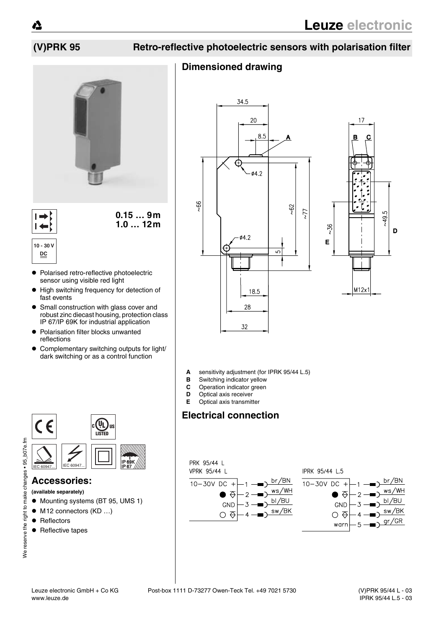## **(V)PRK 95 Retro-reflective photoelectric sensors with polarisation filter**

## **Dimensioned drawing**



 $\blacksquare$ 

**0.15 … 9m 1.0 … 12m**

**10 - 30 V DC**

- $\bullet$  Polarised retro-reflective photoelectric sensor using visible red light
- $\bullet$  High switching frequency for detection of fast events
- Small construction with glass cover and robust zinc diecast housing, protection class IP 67/IP 69K for industrial application
- $\bullet$  Polarisation filter blocks unwanted reflections
- ! Complementary switching outputs for light/ dark switching or as a control function



## **Accessories:**

- **(available separately)**
- $\bullet$  Mounting systems (BT 95, UMS 1)
- $\bullet$  M12 connectors (KD ...)
- Reflectors
- Reflective tapes





- **A** sensitivity adjustment (for IPRK 95/44 L.5)<br>**B** Switching indicator vellow
- **B** Switching indicator yellow
- **C** Operation indicator green<br>**D** Optical axis receiver
- **Optical axis receiver E** Optical axis transmitter

# **Electrical connection**